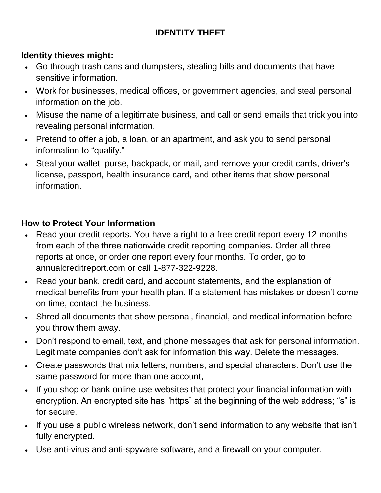# **IDENTITY THEFT**

# **Identity thieves might:**

- Go through trash cans and dumpsters, stealing bills and documents that have sensitive information.
- Work for businesses, medical offices, or government agencies, and steal personal information on the job.
- Misuse the name of a legitimate business, and call or send emails that trick you into revealing personal information.
- Pretend to offer a job, a loan, or an apartment, and ask you to send personal information to "qualify."
- Steal your wallet, purse, backpack, or mail, and remove your credit cards, driver's license, passport, health insurance card, and other items that show personal information.

#### **How to Protect Your Information**

- Read your credit reports. You have a right to a free credit report every 12 months from each of the three nationwide credit reporting companies. Order all three reports at once, or order one report every four months. To order, go to annualcreditreport.com or call 1-877-322-9228.
- Read your bank, credit card, and account statements, and the explanation of medical benefits from your health plan. If a statement has mistakes or doesn't come on time, contact the business.
- Shred all documents that show personal, financial, and medical information before you throw them away.
- Don't respond to email, text, and phone messages that ask for personal information. Legitimate companies don't ask for information this way. Delete the messages.
- Create passwords that mix letters, numbers, and special characters. Don't use the same password for more than one account,
- If you shop or bank online use websites that protect your financial information with encryption. An encrypted site has "https" at the beginning of the web address; "s" is for secure.
- If you use a public wireless network, don't send information to any website that isn't fully encrypted.
- Use anti-virus and anti-spyware software, and a firewall on your computer.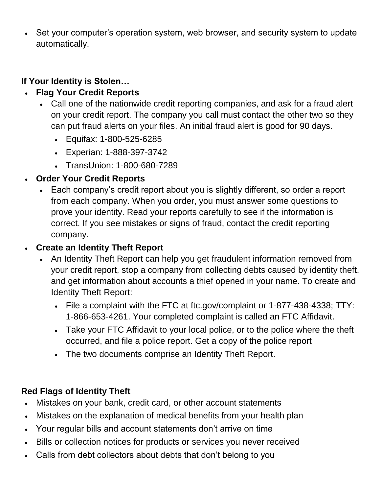• Set your computer's operation system, web browser, and security system to update automatically.

## **If Your Identity is Stolen…**

# **Flag Your Credit Reports**

- Call one of the nationwide credit reporting companies, and ask for a fraud alert on your credit report. The company you call must contact the other two so they can put fraud alerts on your files. An initial fraud alert is good for 90 days.
	- Equifax: 1-800-525-6285
	- Experian: 1-888-397-3742
	- TransUnion: 1-800-680-7289
- **Order Your Credit Reports**
	- Each company's credit report about you is slightly different, so order a report from each company. When you order, you must answer some questions to prove your identity. Read your reports carefully to see if the information is correct. If you see mistakes or signs of fraud, contact the credit reporting company.

#### **Create an Identity Theft Report**

- An Identity Theft Report can help you get fraudulent information removed from your credit report, stop a company from collecting debts caused by identity theft, and get information about accounts a thief opened in your name. To create and Identity Theft Report:
	- File a complaint with the FTC at ftc.gov/complaint or 1-877-438-4338; TTY: 1-866-653-4261. Your completed complaint is called an FTC Affidavit.
	- Take your FTC Affidavit to your local police, or to the police where the theft occurred, and file a police report. Get a copy of the police report
	- The two documents comprise an Identity Theft Report.

# **Red Flags of Identity Theft**

- Mistakes on your bank, credit card, or other account statements
- Mistakes on the explanation of medical benefits from your health plan
- Your regular bills and account statements don't arrive on time
- Bills or collection notices for products or services you never received
- Calls from debt collectors about debts that don't belong to you